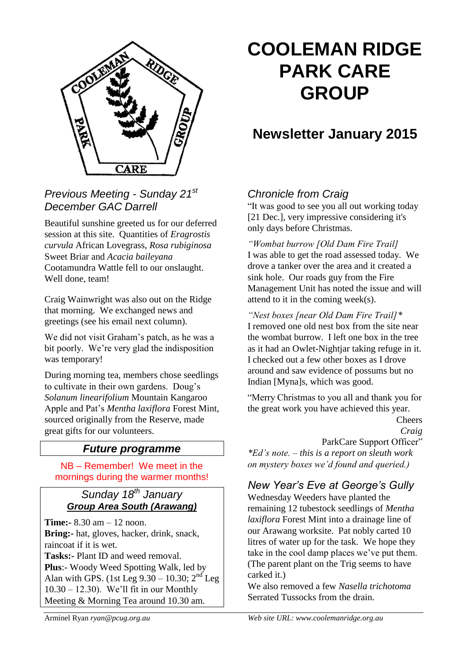

# *Previous Meeting - Sunday 21st December GAC Darrell*

Beautiful sunshine greeted us for our deferred session at this site. Quantities of *Eragrostis curvula* African Lovegrass, *Rosa rubiginosa*  Sweet Briar and *Acacia baileyana*  Cootamundra Wattle fell to our onslaught. Well done, team!

Craig Wainwright was also out on the Ridge that morning. We exchanged news and greetings (see his email next column).

We did not visit Graham's patch, as he was a bit poorly. We're very glad the indisposition was temporary!

During morning tea, members chose seedlings to cultivate in their own gardens. Doug's *Solanum linearifolium* Mountain Kangaroo Apple and Pat's *Mentha laxiflora* Forest Mint, sourced originally from the Reserve, made great gifts for our volunteers.

# *Future programme*

NB – Remember! We meet in the mornings during the warmer months!

## *Sunday 18th January Group Area South (Arawang)*

**Time:-** 8.30 am – 12 noon. **Bring:-** hat, gloves, hacker, drink, snack, raincoat if it is wet. **Tasks:-** Plant ID and weed removal. **Plus**:- Woody Weed Spotting Walk, led by Alan with GPS. (1st Leg  $9.30 - 10.30$ ;  $2<sup>nd</sup>$  Leg 10.30 – 12.30). We'll fit in our Monthly Meeting & Morning Tea around 10.30 am.

# **COOLEMAN RIDGE PARK CARE GROUP**

# **Newsletter January 2015**

# *Chronicle from Craig*

"It was good to see you all out working today [21 Dec.], very impressive considering it's only days before Christmas.

*"Wombat burrow [Old Dam Fire Trail]* I was able to get the road assessed today. We drove a tanker over the area and it created a sink hole. Our roads guy from the Fire Management Unit has noted the issue and will attend to it in the coming week(s).

*"Nest boxes [near Old Dam Fire Trail]\**  I removed one old nest box from the site near the wombat burrow. I left one box in the tree as it had an Owlet-Nightjar taking refuge in it. I checked out a few other boxes as I drove around and saw evidence of possums but no Indian [Myna]s, which was good.

"Merry Christmas to you all and thank you for the great work you have achieved this year.

Cheers *Craig* ParkCare Support Officer" *\*Ed's note. – this is a report on sleuth work on mystery boxes we'd found and queried.)*

# *New Year's Eve at George's Gully*

Wednesday Weeders have planted the remaining 12 tubestock seedlings of *Mentha laxiflora* Forest Mint into a drainage line of our Arawang worksite. Pat nobly carted 10 litres of water up for the task. We hope they take in the cool damp places we've put them. (The parent plant on the Trig seems to have carked it.)

We also removed a few *Nasella trichotoma*  Serrated Tussocks from the drain.